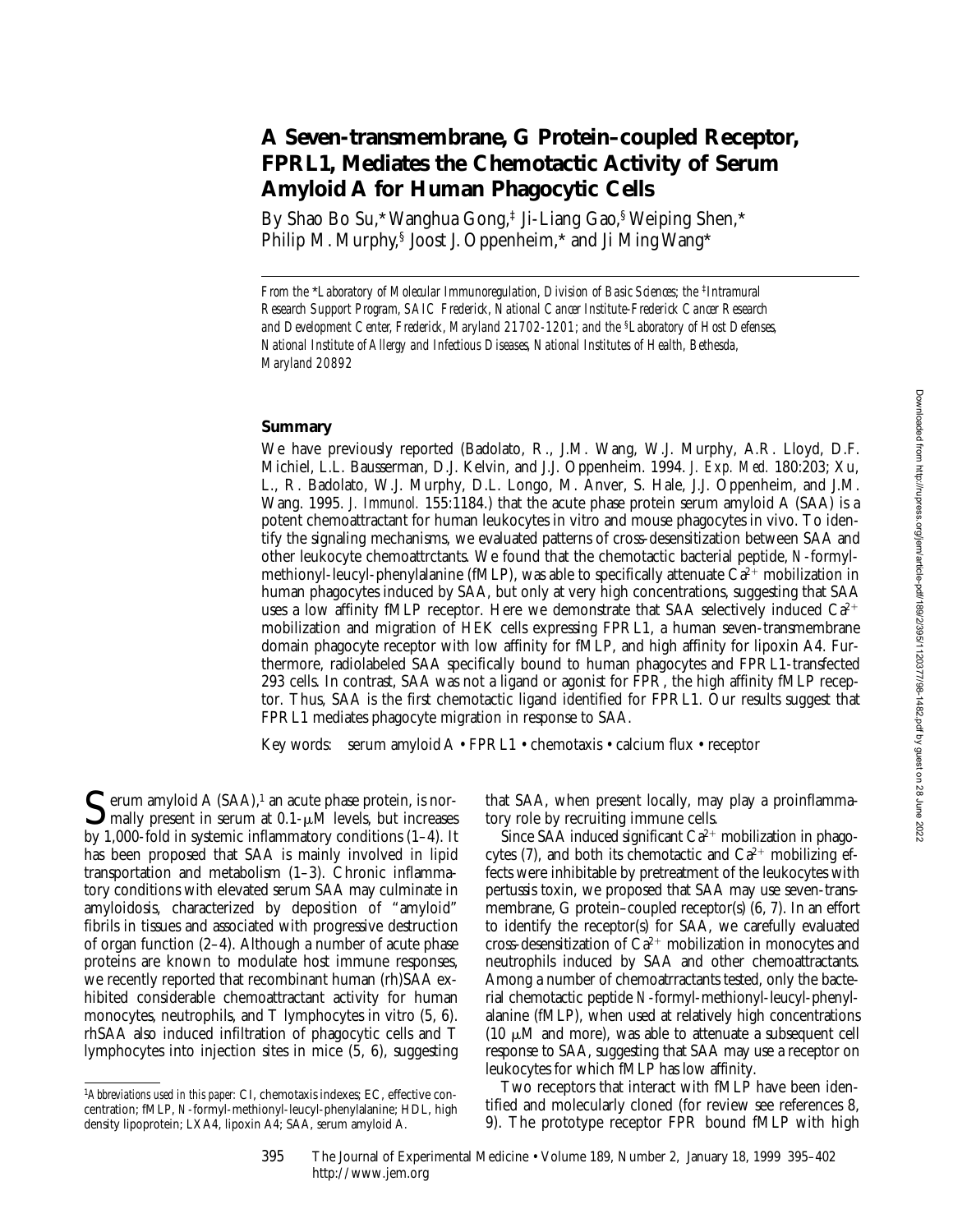# **A Seven-transmembrane, G Protein–coupled Receptor, FPRL1, Mediates the Chemotactic Activity of Serum Amyloid A for Human Phagocytic Cells**

By Shao Bo Su,\* Wanghua Gong,‡ Ji-Liang Gao,§ Weiping Shen,\* Philip M. Murphy,§ Joost J. Oppenheim,\* and Ji Ming Wang\*

*From the \*Laboratory of Molecular Immunoregulation, Division of Basic Sciences; the <sup>‡</sup><i>Intramural Research Support Program, SAIC Frederick, National Cancer Institute-Frederick Cancer Research and Development Center, Frederick, Maryland 21702-1201; and the* §*Laboratory of Host Defenses, National Institute of Allergy and Infectious Diseases, National Institutes of Health, Bethesda, Maryland 20892*

#### **Summary**

We have previously reported (Badolato, R., J.M. Wang, W.J. Murphy, A.R. Lloyd, D.F. Michiel, L.L. Bausserman, D.J. Kelvin, and J.J. Oppenheim. 1994. *J. Exp. Med.* 180:203; Xu, L., R. Badolato, W.J. Murphy, D.L. Longo, M. Anver, S. Hale, J.J. Oppenheim, and J.M. Wang. 1995. *J. Immunol.* 155:1184.) that the acute phase protein serum amyloid A (SAA) is a potent chemoattractant for human leukocytes in vitro and mouse phagocytes in vivo. To identify the signaling mechanisms, we evaluated patterns of cross-desensitization between SAA and other leukocyte chemoattrctants. We found that the chemotactic bacterial peptide, *N*-formylmethionyl-leucyl-phenylalanine (fMLP), was able to specifically attenuate  $\overline{Ca^{2+}}$  mobilization in human phagocytes induced by SAA, but only at very high concentrations, suggesting that SAA uses a low affinity fMLP receptor. Here we demonstrate that SAA selectively induced  $Ca^{2+}$ mobilization and migration of HEK cells expressing FPRL1, a human seven-transmembrane domain phagocyte receptor with low affinity for fMLP, and high affinity for lipoxin A4. Furthermore, radiolabeled SAA specifically bound to human phagocytes and FPRL1-transfected 293 cells. In contrast, SAA was not a ligand or agonist for FPR, the high affinity fMLP receptor. Thus, SAA is the first chemotactic ligand identified for FPRL1. Our results suggest that FPRL1 mediates phagocyte migration in response to SAA.

Key words: serum amyloid A • FPRL1 • chemotaxis • calcium flux • receptor

 $\bf{C}$  erum amyloid A (SAA),<sup>1</sup> an acute phase protein, is nor- $\Box$  mally present in serum at 0.1- $\mu$ M levels, but increases by 1,000-fold in systemic inflammatory conditions (1–4). It has been proposed that SAA is mainly involved in lipid transportation and metabolism (1–3). Chronic inflammatory conditions with elevated serum SAA may culminate in amyloidosis, characterized by deposition of "amyloid" fibrils in tissues and associated with progressive destruction of organ function (2–4). Although a number of acute phase proteins are known to modulate host immune responses, we recently reported that recombinant human (rh)SAA exhibited considerable chemoattractant activity for human monocytes, neutrophils, and T lymphocytes in vitro (5, 6). rhSAA also induced infiltration of phagocytic cells and T lymphocytes into injection sites in mice (5, 6), suggesting

that SAA, when present locally, may play a proinflammatory role by recruiting immune cells.

Since SAA induced significant  $Ca^{2+}$  mobilization in phagocytes (7), and both its chemotactic and  $Ca^{2+}$  mobilizing effects were inhibitable by pretreatment of the leukocytes with pertussis toxin, we proposed that SAA may use seven-transmembrane, G protein–coupled receptor(s) (6, 7). In an effort to identify the receptor(s) for SAA, we carefully evaluated cross-desensitization of  $Ca^{2+}$  mobilization in monocytes and neutrophils induced by SAA and other chemoattractants. Among a number of chemoatrractants tested, only the bacterial chemotactic peptide *N*-formyl-methionyl-leucyl-phenylalanine (fMLP), when used at relatively high concentrations (10  $\mu$ M and more), was able to attenuate a subsequent cell response to SAA, suggesting that SAA may use a receptor on leukocytes for which fMLP has low affinity.

Two receptors that interact with fMLP have been identified and molecularly cloned (for review see references 8, 9). The prototype receptor FPR bound fMLP with high

395 The Journal of Experimental Medicine • Volume 189, Number 2, January 18, 1999 395–402 http://www.jem.org

<sup>1</sup>*Abbreviations used in this paper:* CI, chemotaxis indexes; EC, effective concentration; fMLP, *N*-formyl-methionyl-leucyl-phenylalanine; HDL, high density lipoprotein; LXA4, lipoxin A4; SAA, serum amyloid A.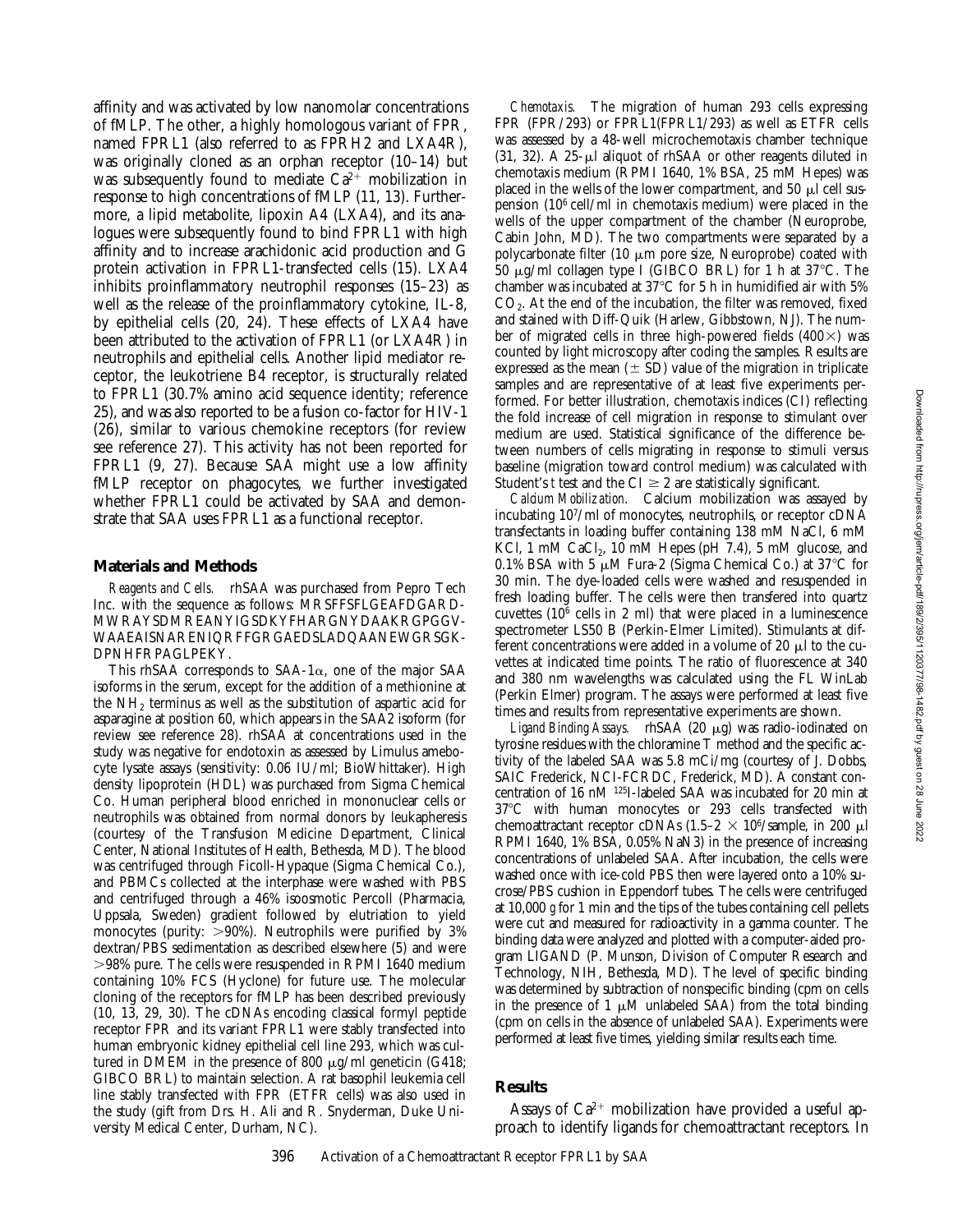affinity and was activated by low nanomolar concentrations of fMLP. The other, a highly homologous variant of FPR, named FPRL1 (also referred to as FPRH2 and LXA4R), was originally cloned as an orphan receptor (10–14) but was subsequently found to mediate  $Ca^{2+}$  mobilization in response to high concentrations of fMLP (11, 13). Furthermore, a lipid metabolite, lipoxin A4 (LXA4), and its analogues were subsequently found to bind FPRL1 with high affinity and to increase arachidonic acid production and G protein activation in FPRL1-transfected cells (15). LXA4 inhibits proinflammatory neutrophil responses (15–23) as well as the release of the proinflammatory cytokine, IL-8, by epithelial cells (20, 24). These effects of LXA4 have been attributed to the activation of FPRL1 (or LXA4R) in neutrophils and epithelial cells. Another lipid mediator receptor, the leukotriene B4 receptor, is structurally related to FPRL1 (30.7% amino acid sequence identity; reference 25), and was also reported to be a fusion co-factor for HIV-1 (26), similar to various chemokine receptors (for review see reference 27). This activity has not been reported for FPRL1 (9, 27). Because SAA might use a low affinity fMLP receptor on phagocytes, we further investigated whether FPRL1 could be activated by SAA and demonstrate that SAA uses FPRL1 as a functional receptor.

#### **Materials and Methods**

*Reagents and Cells.* rhSAA was purchased from Pepro Tech Inc. with the sequence as follows: MRSFFSFLGEAFDGARD-MWRAYSDMREANYIGSDKYFHARGNYDAAKRGPGGV-WAAEAISNARENIQRFFGRGAEDSLADQAANEWGRSGK-DPNHFRPAGLPEKY.

This rhSAA corresponds to SAA-1 $\alpha$ , one of the major SAA isoforms in the serum, except for the addition of a methionine at the  $NH<sub>2</sub>$  terminus as well as the substitution of aspartic acid for asparagine at position 60, which appears in the SAA2 isoform (for review see reference 28). rhSAA at concentrations used in the study was negative for endotoxin as assessed by Limulus amebocyte lysate assays (sensitivity: 0.06 IU/ml; BioWhittaker). High density lipoprotein (HDL) was purchased from Sigma Chemical Co. Human peripheral blood enriched in mononuclear cells or neutrophils was obtained from normal donors by leukapheresis (courtesy of the Transfusion Medicine Department, Clinical Center, National Institutes of Health, Bethesda, MD). The blood was centrifuged through Ficoll-Hypaque (Sigma Chemical Co.), and PBMCs collected at the interphase were washed with PBS and centrifuged through a 46% isoosmotic Percoll (Pharmacia, Uppsala, Sweden) gradient followed by elutriation to yield monocytes (purity:  $>90\%$ ). Neutrophils were purified by 3% dextran/PBS sedimentation as described elsewhere (5) and were .98% pure. The cells were resuspended in RPMI 1640 medium containing 10% FCS (Hyclone) for future use. The molecular cloning of the receptors for fMLP has been described previously (10, 13, 29, 30). The cDNAs encoding classical formyl peptide receptor FPR and its variant FPRL1 were stably transfected into human embryonic kidney epithelial cell line 293, which was cultured in DMEM in the presence of 800  $\mu$ g/ml geneticin (G418; GIBCO BRL) to maintain selection. A rat basophil leukemia cell line stably transfected with FPR (ETFR cells) was also used in the study (gift from Drs. H. Ali and R. Snyderman, Duke University Medical Center, Durham, NC).

*Chemotaxis.* The migration of human 293 cells expressing FPR (FPR/293) or FPRL1(FPRL1/293) as well as ETFR cells was assessed by a 48-well microchemotaxis chamber technique  $(31, 32)$ . A  $25$ - $\mu$ l aliquot of rhSAA or other reagents diluted in chemotaxis medium (RPMI 1640, 1% BSA, 25 mM Hepes) was placed in the wells of the lower compartment, and 50  $\mu$ l cell suspension (106 cell/ml in chemotaxis medium) were placed in the wells of the upper compartment of the chamber (Neuroprobe, Cabin John, MD). The two compartments were separated by a polycarbonate filter (10  $\mu$ m pore size, Neuroprobe) coated with 50  $\mu$ g/ml collagen type I (GIBCO BRL) for 1 h at 37 °C. The chamber was incubated at  $37^{\circ}$ C for 5 h in humidified air with 5%  $CO<sub>2</sub>$ . At the end of the incubation, the filter was removed, fixed and stained with Diff-Quik (Harlew, Gibbstown, NJ). The number of migrated cells in three high-powered fields  $(400\times)$  was counted by light microscopy after coding the samples. Results are expressed as the mean  $(\pm S_D)$  value of the migration in triplicate samples and are representative of at least five experiments performed. For better illustration, chemotaxis indices (CI) reflecting the fold increase of cell migration in response to stimulant over medium are used. Statistical significance of the difference between numbers of cells migrating in response to stimuli versus baseline (migration toward control medium) was calculated with Student's *t* test and the  $CI \geq 2$  are statistically significant.

*Calcium Mobilization.* Calcium mobilization was assayed by incubating 107/ml of monocytes, neutrophils, or receptor cDNA transfectants in loading buffer containing 138 mM NaCl, 6 mM KCl, 1 mM CaCl<sub>2</sub>, 10 mM Hepes (pH  $7.4$ ), 5 mM glucose, and 0.1% BSA with 5  $\mu$ M Fura-2 (Sigma Chemical Co.) at 37°C for 30 min. The dye-loaded cells were washed and resuspended in fresh loading buffer. The cells were then transfered into quartz cuvettes (106 cells in 2 ml) that were placed in a luminescence spectrometer LS50 B (Perkin-Elmer Limited). Stimulants at different concentrations were added in a volume of 20  $\mu$ l to the cuvettes at indicated time points. The ratio of fluorescence at 340 and 380 nm wavelengths was calculated using the FL WinLab (Perkin Elmer) program. The assays were performed at least five times and results from representative experiments are shown.

Ligand Binding Assays. rhSAA (20 μg) was radio-iodinated on tyrosine residues with the chloramine T method and the specific activity of the labeled SAA was 5.8 mCi/mg (courtesy of J. Dobbs, SAIC Frederick, NCI-FCRDC, Frederick, MD). A constant concentration of 16 nM 125I-labeled SAA was incubated for 20 min at 37°C with human monocytes or 293 cells transfected with chemoattractant receptor cDNAs  $(1.5-2 \times 10^6/\text{sample}$ , in 200 µl RPMI 1640, 1% BSA, 0.05% NaN3) in the presence of increasing concentrations of unlabeled SAA. After incubation, the cells were washed once with ice-cold PBS then were layered onto a 10% sucrose/PBS cushion in Eppendorf tubes. The cells were centrifuged at 10,000 *g* for 1 min and the tips of the tubes containing cell pellets were cut and measured for radioactivity in a gamma counter. The binding data were analyzed and plotted with a computer-aided program LIGAND (P. Munson, Division of Computer Research and Technology, NIH, Bethesda, MD). The level of specific binding was determined by subtraction of nonspecific binding (cpm on cells in the presence of 1  $\mu$ M unlabeled SAA) from the total binding (cpm on cells in the absence of unlabeled SAA). Experiments were performed at least five times, yielding similar results each time.

## **Results**

Assays of  $Ca^{2+}$  mobilization have provided a useful approach to identify ligands for chemoattractant receptors. In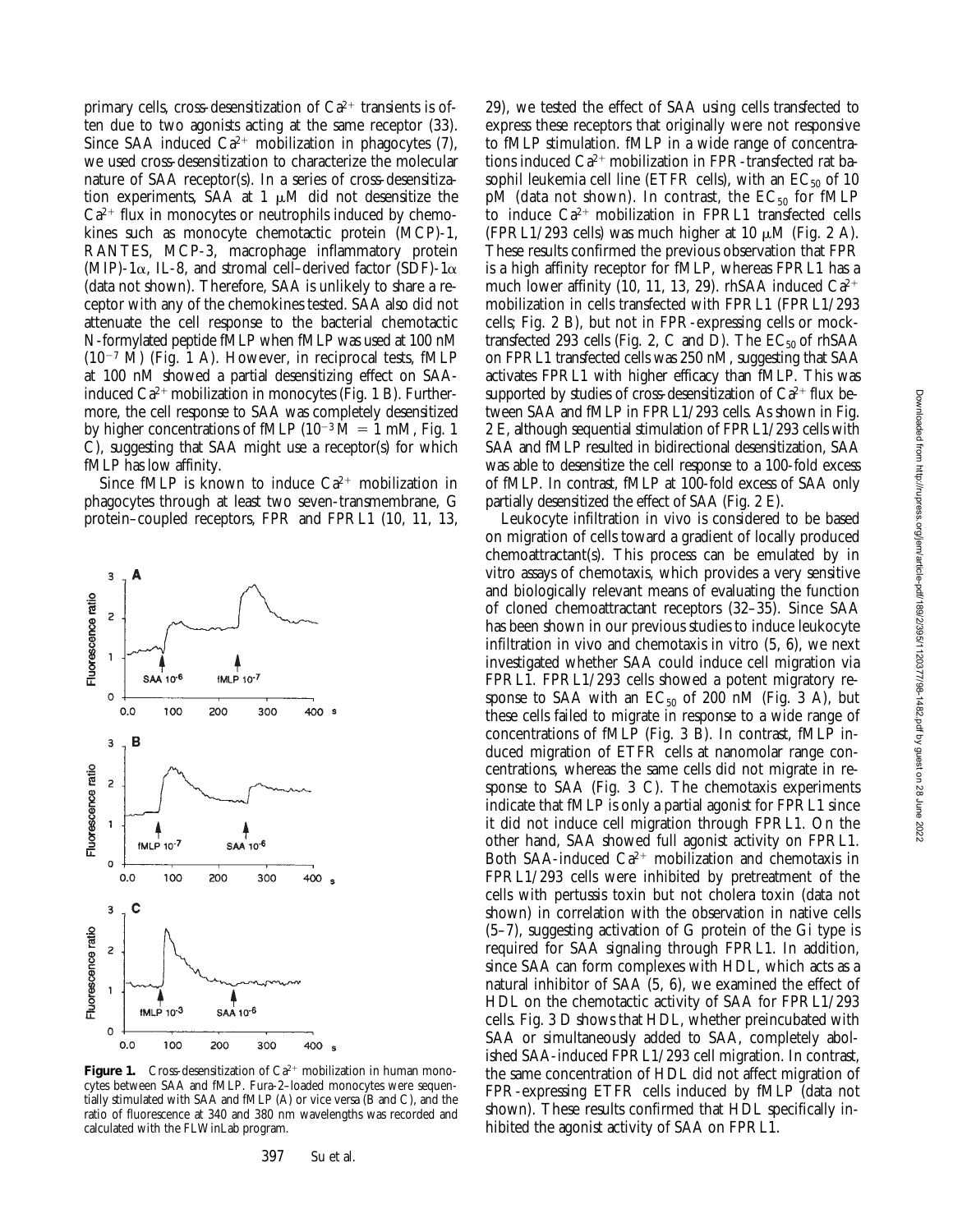primary cells, cross-desensitization of  $Ca^{2+}$  transients is often due to two agonists acting at the same receptor (33). Since SAA induced  $Ca^{2+}$  mobilization in phagocytes (7), we used cross-desensitization to characterize the molecular nature of SAA receptor(s). In a series of cross-desensitization experiments, SAA at  $1 \mu M$  did not desensitize the  $Ca^{2+}$  flux in monocytes or neutrophils induced by chemokines such as monocyte chemotactic protein (MCP)-1, RANTES, MCP-3, macrophage inflammatory protein (MIP)-1 $\alpha$ , IL-8, and stromal cell–derived factor (SDF)-1 $\alpha$ (data not shown). Therefore, SAA is unlikely to share a receptor with any of the chemokines tested. SAA also did not attenuate the cell response to the bacterial chemotactic N-formylated peptide fMLP when fMLP was used at 100 nM  $(10^{-7}$  M) (Fig. 1 A). However, in reciprocal tests, fMLP at 100 nM showed a partial desensitizing effect on SAAinduced  $Ca^{2+}$  mobilization in monocytes (Fig. 1 B). Furthermore, the cell response to SAA was completely desensitized by higher concentrations of fMLP  $(10^{-3} M = 1$  mM, Fig. 1 C), suggesting that SAA might use a receptor(s) for which fMLP has low affinity.

Since fMLP is known to induce  $Ca^{2+}$  mobilization in phagocytes through at least two seven-transmembrane, G protein–coupled receptors, FPR and FPRL1 (10, 11, 13,



**Figure 1.** Cross-desensitization of  $Ca^{2+}$  mobilization in human monocytes between SAA and fMLP. Fura-2–loaded monocytes were sequentially stimulated with SAA and fMLP (A) or vice versa (B and C), and the ratio of fluorescence at 340 and 380 nm wavelengths was recorded and calculated with the FLWinLab program.

29), we tested the effect of SAA using cells transfected to express these receptors that originally were not responsive to fMLP stimulation. fMLP in a wide range of concentrations induced  $Ca^{2+}$  mobilization in FPR-transfected rat basophil leukemia cell line (ETFR cells), with an  $EC_{50}$  of 10 pM (data not shown). In contrast, the  $EC_{50}$  for fMLP to induce  $Ca^{2+}$  mobilization in FPRL1 transfected cells (FPRL1/293 cells) was much higher at 10  $\mu$ M (Fig. 2 A). These results confirmed the previous observation that FPR is a high affinity receptor for fMLP, whereas FPRL1 has a much lower affinity (10, 11, 13, 29). rhSAA induced  $Ca^{2+}$ mobilization in cells transfected with FPRL1 (FPRL1/293 cells; Fig. 2 B), but not in FPR-expressing cells or mocktransfected 293 cells (Fig. 2, C and D). The  $EC_{50}$  of rhSAA on FPRL1 transfected cells was 250 nM, suggesting that SAA activates FPRL1 with higher efficacy than fMLP. This was supported by studies of cross-desensitization of  $Ca^{2+}$  flux between SAA and fMLP in FPRL1/293 cells. As shown in Fig. 2 E, although sequential stimulation of FPRL1/293 cells with SAA and fMLP resulted in bidirectional desensitization, SAA was able to desensitize the cell response to a 100-fold excess of fMLP. In contrast, fMLP at 100-fold excess of SAA only partially desensitized the effect of SAA (Fig. 2 E).

Leukocyte infiltration in vivo is considered to be based on migration of cells toward a gradient of locally produced chemoattractant(s). This process can be emulated by in vitro assays of chemotaxis, which provides a very sensitive and biologically relevant means of evaluating the function of cloned chemoattractant receptors (32–35). Since SAA has been shown in our previous studies to induce leukocyte infiltration in vivo and chemotaxis in vitro (5, 6), we next investigated whether SAA could induce cell migration via FPRL1. FPRL1/293 cells showed a potent migratory response to SAA with an  $EC_{50}$  of 200 nM (Fig. 3 A), but these cells failed to migrate in response to a wide range of concentrations of fMLP (Fig. 3 B). In contrast, fMLP induced migration of ETFR cells at nanomolar range concentrations, whereas the same cells did not migrate in response to SAA (Fig. 3 C). The chemotaxis experiments indicate that fMLP is only a partial agonist for FPRL1 since it did not induce cell migration through FPRL1. On the other hand, SAA showed full agonist activity on FPRL1. Both SAA-induced  $Ca^{2+}$  mobilization and chemotaxis in FPRL1/293 cells were inhibited by pretreatment of the cells with pertussis toxin but not cholera toxin (data not shown) in correlation with the observation in native cells (5–7), suggesting activation of G protein of the Gi type is required for SAA signaling through FPRL1. In addition, since SAA can form complexes with HDL, which acts as a natural inhibitor of SAA (5, 6), we examined the effect of HDL on the chemotactic activity of SAA for FPRL1/293 cells. Fig. 3 D shows that HDL, whether preincubated with SAA or simultaneously added to SAA, completely abolished SAA-induced FPRL1/293 cell migration. In contrast, the same concentration of HDL did not affect migration of FPR-expressing ETFR cells induced by fMLP (data not shown). These results confirmed that HDL specifically inhibited the agonist activity of SAA on FPRL1.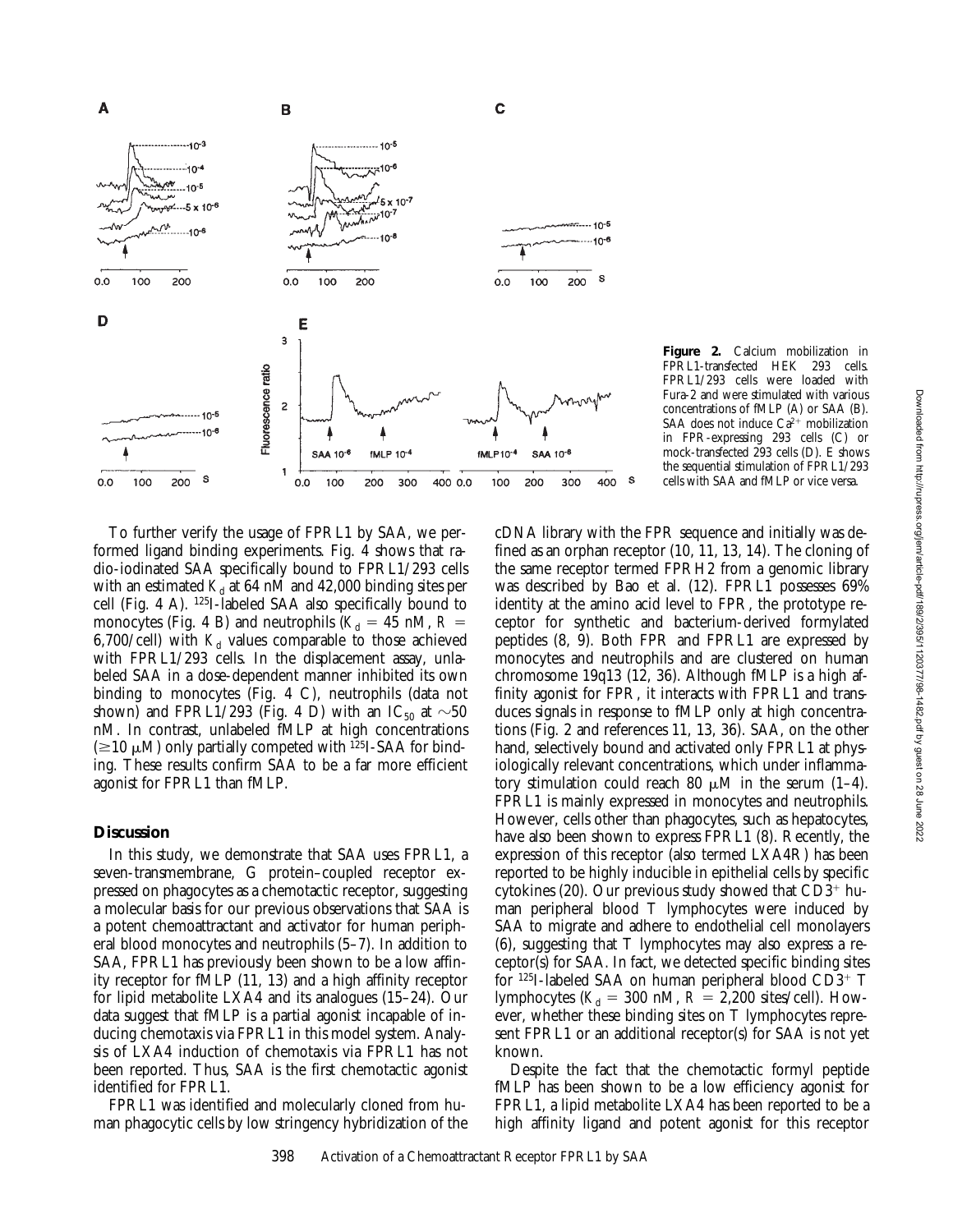

**Figure 2.** Calcium mobilization in<br>FPRL1-transfected HEK 293 cells. FPRL1-transfected HEK 293 FPRL1/293 cells were loaded with Fura-2 and were stimulated with various concentrations of fMLP (A) or SAA (B). SAA does not induce  $Ca^{2+}$  mobilization in FPR-expressing 293 cells (C) or mock-transfected 293 cells (D). E shows the sequential stimulation of FPRL1/293 cells with SAA and fMLP or vice versa.

To further verify the usage of FPRL1 by SAA, we performed ligand binding experiments. Fig. 4 shows that radio-iodinated SAA specifically bound to FPRL1/293 cells with an estimated  $K_d$  at 64 nM and 42,000 binding sites per cell (Fig. 4 A). 125I-labeled SAA also specifically bound to monocytes (Fig. 4 B) and neutrophils ( $K_d = 45$  nM,  $R =$ 6,700/cell) with  $K_d$  values comparable to those achieved with FPRL1/293 cells. In the displacement assay, unlabeled SAA in a dose-dependent manner inhibited its own binding to monocytes (Fig. 4 C), neutrophils (data not shown) and FPRL1/293 (Fig. 4 D) with an IC<sub>50</sub> at  $\sim$ 50 nM. In contrast, unlabeled fMLP at high concentrations ( $\geq$ 10  $\mu$ M) only partially competed with <sup>125</sup>I-SAA for binding. These results confirm SAA to be a far more efficient agonist for FPRL1 than fMLP.

## **Discussion**

In this study, we demonstrate that SAA uses FPRL1, a seven-transmembrane, G protein–coupled receptor expressed on phagocytes as a chemotactic receptor, suggesting a molecular basis for our previous observations that SAA is a potent chemoattractant and activator for human peripheral blood monocytes and neutrophils (5–7). In addition to SAA, FPRL1 has previously been shown to be a low affinity receptor for fMLP (11, 13) and a high affinity receptor for lipid metabolite LXA4 and its analogues (15–24). Our data suggest that fMLP is a partial agonist incapable of inducing chemotaxis via FPRL1 in this model system. Analysis of LXA4 induction of chemotaxis via FPRL1 has not been reported. Thus, SAA is the first chemotactic agonist identified for FPRL1.

FPRL1 was identified and molecularly cloned from human phagocytic cells by low stringency hybridization of the cDNA library with the FPR sequence and initially was defined as an orphan receptor (10, 11, 13, 14). The cloning of the same receptor termed FPRH2 from a genomic library was described by Bao et al. (12). FPRL1 possesses 69% identity at the amino acid level to FPR, the prototype receptor for synthetic and bacterium-derived formylated peptides (8, 9). Both FPR and FPRL1 are expressed by monocytes and neutrophils and are clustered on human chromosome 19q13 (12, 36). Although fMLP is a high affinity agonist for FPR, it interacts with FPRL1 and transduces signals in response to fMLP only at high concentrations (Fig. 2 and references 11, 13, 36). SAA, on the other hand, selectively bound and activated only FPRL1 at physiologically relevant concentrations, which under inflammatory stimulation could reach 80  $\mu$ M in the serum (1–4). FPRL1 is mainly expressed in monocytes and neutrophils. However, cells other than phagocytes, such as hepatocytes, have also been shown to express FPRL1 (8). Recently, the expression of this receptor (also termed LXA4R) has been reported to be highly inducible in epithelial cells by specific cytokines (20). Our previous study showed that  $CD3^+$  human peripheral blood T lymphocytes were induced by SAA to migrate and adhere to endothelial cell monolayers (6), suggesting that T lymphocytes may also express a receptor(s) for SAA. In fact, we detected specific binding sites for  $125I$ -labeled SAA on human peripheral blood CD3+ T lymphocytes ( $K_d$  = 300 nM,  $R = 2,200$  sites/cell). However, whether these binding sites on T lymphocytes represent FPRL1 or an additional receptor(s) for SAA is not yet known.

Despite the fact that the chemotactic formyl peptide fMLP has been shown to be a low efficiency agonist for FPRL1, a lipid metabolite LXA4 has been reported to be a high affinity ligand and potent agonist for this receptor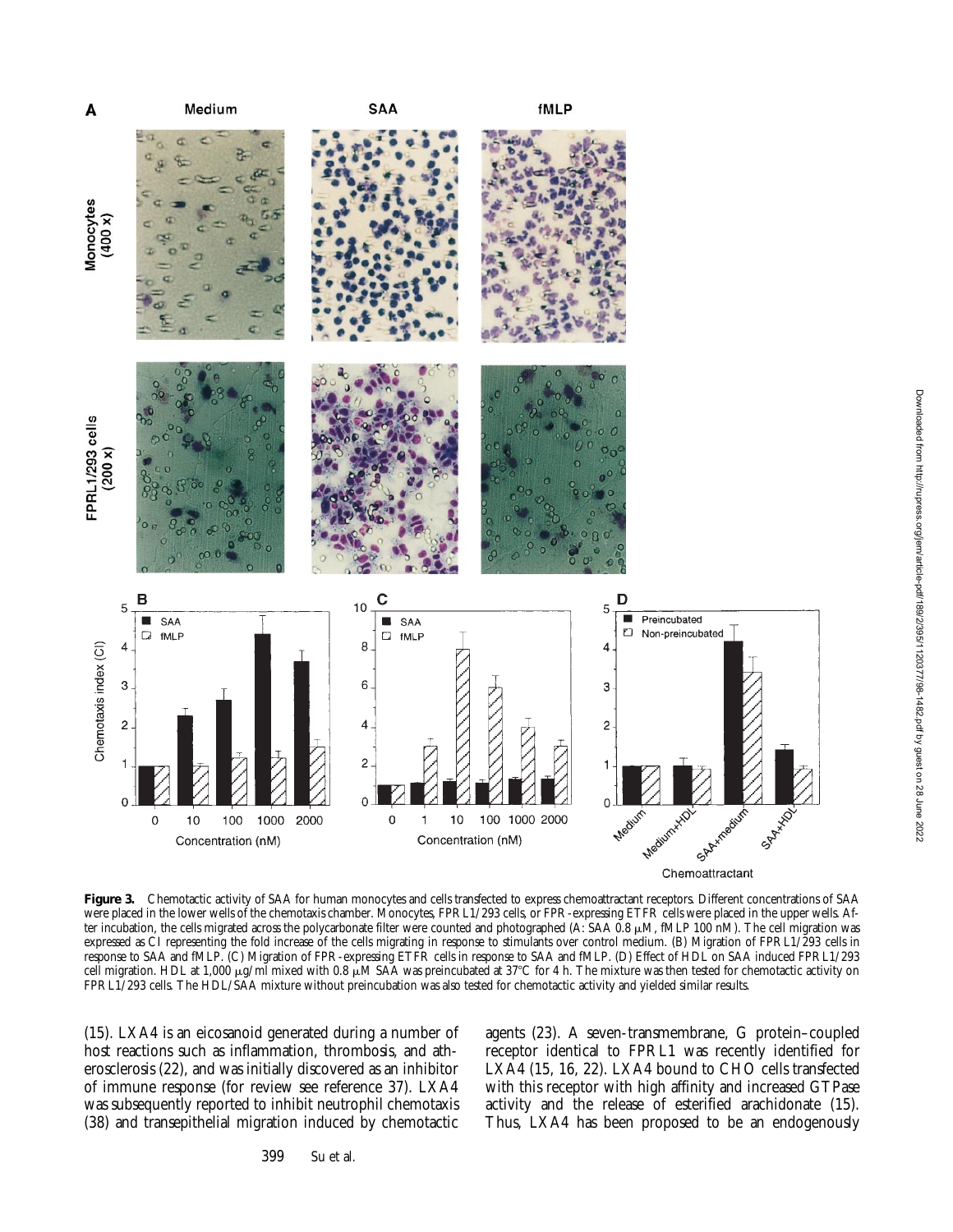

Figure 3. Chemotactic activity of SAA for human monocytes and cells transfected to express chemoattractant receptors. Different concentrations of SAA were placed in the lower wells of the chemotaxis chamber. Monocytes, FPRL1/293 cells, or FPR-expressing ETFR cells were placed in the upper wells. After incubation, the cells migrated across the polycarbonate filter were counted and photographed (A: SAA  $0.8 \mu M$ , fMLP 100 nM). The cell migration was expressed as CI representing the fold increase of the cells migrating in response to stimulants over control medium. (B) Migration of FPRL1/293 cells in response to SAA and fMLP. (C) Migration of FPR-expressing ETFR cells in response to SAA and fMLP. (D) Effect of HDL on SAA induced FPRL1/293 cell migration. HDL at 1,000  $\mu$ g/ml mixed with 0.8  $\mu$ M SAA was preincubated at 37°C for 4 h. The mixture was then tested for chemotactic activity on FPRL1/293 cells. The HDL/SAA mixture without preincubation was also tested for chemotactic activity and yielded similar results.

(15). LXA4 is an eicosanoid generated during a number of host reactions such as inflammation, thrombosis, and atherosclerosis (22), and was initially discovered as an inhibitor of immune response (for review see reference 37). LXA4 was subsequently reported to inhibit neutrophil chemotaxis (38) and transepithelial migration induced by chemotactic agents (23). A seven-transmembrane, G protein–coupled receptor identical to FPRL1 was recently identified for LXA4 (15, 16, 22). LXA4 bound to CHO cells transfected with this receptor with high affinity and increased GTPase activity and the release of esterified arachidonate (15). Thus, LXA4 has been proposed to be an endogenously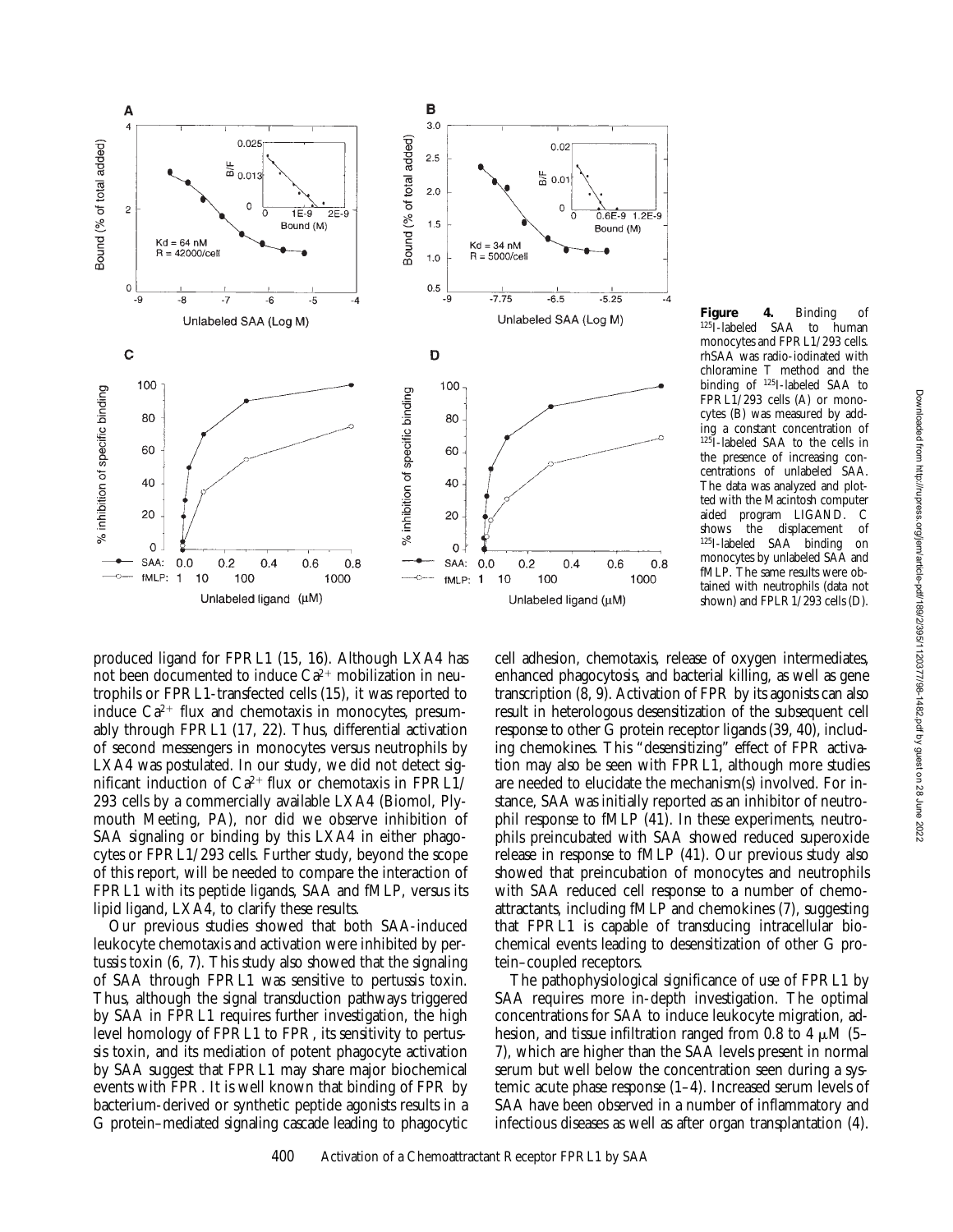

Figure 4. Binding of<br><sup>125</sup>I-labeled SAA to human SAA to monocytes and FPRL1/293 cells. rhSAA was radio-iodinated with chloramine T method and the binding of 125I-labeled SAA to FPRL1/293 cells (A) or monocytes (B) was measured by adding a constant concentration of 125I-labeled SAA to the cells in the presence of increasing concentrations of unlabeled SAA. The data was analyzed and plotted with the Macintosh computer aided program LIGAND. C displacement 125I-labeled SAA binding on monocytes by unlabeled SAA and fMLP. The same results were obtained with neutrophils (data not shown) and FPLR1/293 cells (D).

produced ligand for FPRL1 (15, 16). Although LXA4 has not been documented to induce  $Ca^{2+}$  mobilization in neutrophils or FPRL1-transfected cells (15), it was reported to induce  $Ca^{2+}$  flux and chemotaxis in monocytes, presumably through FPRL1 (17, 22). Thus, differential activation of second messengers in monocytes versus neutrophils by LXA4 was postulated. In our study, we did not detect significant induction of  $Ca^{2+}$  flux or chemotaxis in FPRL1/ 293 cells by a commercially available LXA4 (Biomol, Plymouth Meeting, PA), nor did we observe inhibition of SAA signaling or binding by this LXA4 in either phagocytes or FPRL1/293 cells. Further study, beyond the scope of this report, will be needed to compare the interaction of FPRL1 with its peptide ligands, SAA and fMLP, versus its lipid ligand, LXA4, to clarify these results.

Our previous studies showed that both SAA-induced leukocyte chemotaxis and activation were inhibited by pertussis toxin (6, 7). This study also showed that the signaling of SAA through FPRL1 was sensitive to pertussis toxin. Thus, although the signal transduction pathways triggered by SAA in FPRL1 requires further investigation, the high level homology of FPRL1 to FPR, its sensitivity to pertussis toxin, and its mediation of potent phagocyte activation by SAA suggest that FPRL1 may share major biochemical events with FPR. It is well known that binding of FPR by bacterium-derived or synthetic peptide agonists results in a G protein–mediated signaling cascade leading to phagocytic cell adhesion, chemotaxis, release of oxygen intermediates, enhanced phagocytosis, and bacterial killing, as well as gene transcription (8, 9). Activation of FPR by its agonists can also result in heterologous desensitization of the subsequent cell response to other G protein receptor ligands (39, 40), including chemokines. This "desensitizing" effect of FPR activation may also be seen with FPRL1, although more studies are needed to elucidate the mechanism(s) involved. For instance, SAA was initially reported as an inhibitor of neutrophil response to fMLP (41). In these experiments, neutrophils preincubated with SAA showed reduced superoxide release in response to fMLP (41). Our previous study also showed that preincubation of monocytes and neutrophils with SAA reduced cell response to a number of chemoattractants, including fMLP and chemokines (7), suggesting that FPRL1 is capable of transducing intracellular biochemical events leading to desensitization of other G protein–coupled receptors.

The pathophysiological significance of use of FPRL1 by SAA requires more in-depth investigation. The optimal concentrations for SAA to induce leukocyte migration, adhesion, and tissue infiltration ranged from 0.8 to 4  $\mu$ M (5– 7), which are higher than the SAA levels present in normal serum but well below the concentration seen during a systemic acute phase response (1–4). Increased serum levels of SAA have been observed in a number of inflammatory and infectious diseases as well as after organ transplantation (4).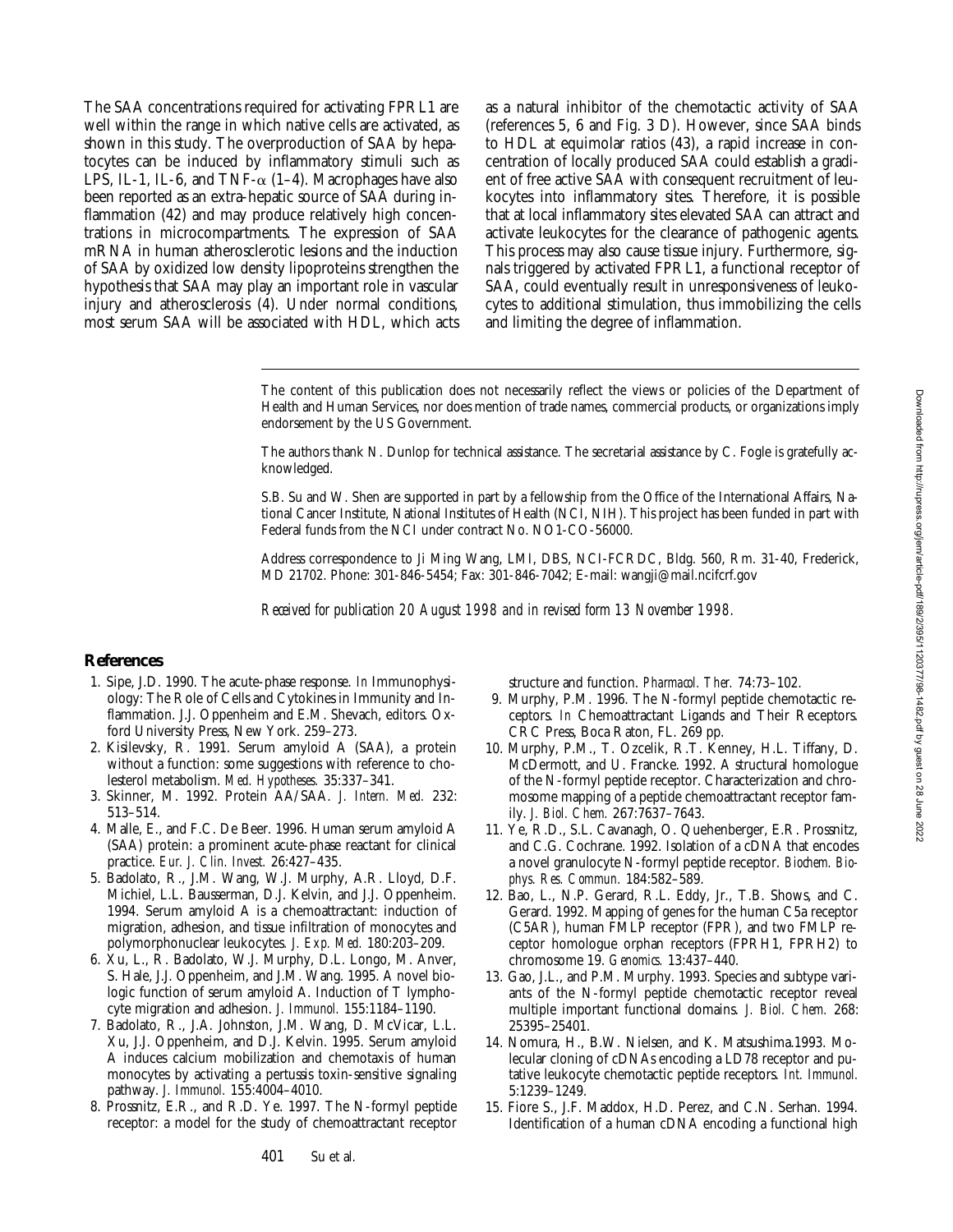The SAA concentrations required for activating FPRL1 are well within the range in which native cells are activated, as shown in this study. The overproduction of SAA by hepatocytes can be induced by inflammatory stimuli such as LPS, IL-1, IL-6, and TNF- $\alpha$  (1–4). Macrophages have also been reported as an extra-hepatic source of SAA during inflammation (42) and may produce relatively high concentrations in microcompartments. The expression of SAA mRNA in human atherosclerotic lesions and the induction of SAA by oxidized low density lipoproteins strengthen the hypothesis that SAA may play an important role in vascular injury and atherosclerosis (4). Under normal conditions, most serum SAA will be associated with HDL, which acts

as a natural inhibitor of the chemotactic activity of SAA (references 5, 6 and Fig. 3 D). However, since SAA binds to HDL at equimolar ratios (43), a rapid increase in concentration of locally produced SAA could establish a gradient of free active SAA with consequent recruitment of leukocytes into inflammatory sites. Therefore, it is possible that at local inflammatory sites elevated SAA can attract and activate leukocytes for the clearance of pathogenic agents. This process may also cause tissue injury. Furthermore, signals triggered by activated FPRL1, a functional receptor of SAA, could eventually result in unresponsiveness of leukocytes to additional stimulation, thus immobilizing the cells and limiting the degree of inflammation.

The content of this publication does not necessarily reflect the views or policies of the Department of Health and Human Services, nor does mention of trade names, commercial products, or organizations imply endorsement by the US Government.

The authors thank N. Dunlop for technical assistance. The secretarial assistance by C. Fogle is gratefully acknowledged.

S.B. Su and W. Shen are supported in part by a fellowship from the Office of the International Affairs, National Cancer Institute, National Institutes of Health (NCI, NIH). This project has been funded in part with Federal funds from the NCI under contract No. NO1-CO-56000.

Address correspondence to Ji Ming Wang, LMI, DBS, NCI-FCRDC, Bldg. 560, Rm. 31-40, Frederick, MD 21702. Phone: 301-846-5454; Fax: 301-846-7042; E-mail: wangji@mail.ncifcrf.gov

*Received for publication 20 August 1998 and in revised form 13 November 1998.*

## **References**

- 1. Sipe, J.D. 1990. The acute-phase response. *In* Immunophysiology: The Role of Cells and Cytokines in Immunity and Inflammation. J.J. Oppenheim and E.M. Shevach, editors. Oxford University Press, New York. 259–273.
- 2. Kisilevsky, R. 1991. Serum amyloid A (SAA), a protein without a function: some suggestions with reference to cholesterol metabolism. *Med. Hypotheses.* 35:337–341.
- 3. Skinner, M. 1992. Protein AA/SAA. *J. Intern. Med.* 232: 513–514.
- 4. Malle, E., and F.C. De Beer. 1996. Human serum amyloid A (SAA) protein: a prominent acute-phase reactant for clinical practice. *Eur. J. Clin. Invest.* 26:427–435.
- 5. Badolato, R., J.M. Wang, W.J. Murphy, A.R. Lloyd, D.F. Michiel, L.L. Bausserman, D.J. Kelvin, and J.J. Oppenheim. 1994. Serum amyloid A is a chemoattractant: induction of migration, adhesion, and tissue infiltration of monocytes and polymorphonuclear leukocytes*. J. Exp. Med.* 180:203–209.
- 6. Xu, L., R. Badolato, W.J. Murphy, D.L. Longo, M. Anver, S. Hale, J.J. Oppenheim, and J.M. Wang. 1995. A novel biologic function of serum amyloid A. Induction of T lymphocyte migration and adhesion. *J. Immunol.* 155:1184–1190.
- 7. Badolato, R., J.A. Johnston, J.M. Wang, D. McVicar, L.L. Xu, J.J. Oppenheim, and D.J. Kelvin. 1995. Serum amyloid A induces calcium mobilization and chemotaxis of human monocytes by activating a pertussis toxin-sensitive signaling pathway. *J. Immunol.* 155:4004–4010.
- 8. Prossnitz, E.R., and R.D. Ye. 1997. The N-formyl peptide receptor: a model for the study of chemoattractant receptor

structure and function. *Pharmacol. Ther.* 74:73–102.

- 9. Murphy, P.M. 1996. The N-formyl peptide chemotactic receptors. *In* Chemoattractant Ligands and Their Receptors. CRC Press, Boca Raton, FL. 269 pp.
- 10. Murphy, P.M., T. Ozcelik, R.T. Kenney, H.L. Tiffany, D. McDermott, and U. Francke. 1992. A structural homologue of the N-formyl peptide receptor. Characterization and chromosome mapping of a peptide chemoattractant receptor family. *J. Biol. Chem.* 267:7637–7643.
- 11. Ye, R.D., S.L. Cavanagh, O. Quehenberger, E.R. Prossnitz, and C.G. Cochrane. 1992. Isolation of a cDNA that encodes a novel granulocyte N-formyl peptide receptor. *Biochem. Biophys. Res. Commun.* 184:582–589.
- 12. Bao, L., N.P. Gerard, R.L. Eddy, Jr., T.B. Shows, and C. Gerard. 1992. Mapping of genes for the human C5a receptor (C5AR), human FMLP receptor (FPR), and two FMLP receptor homologue orphan receptors (FPRH1, FPRH2) to chromosome 19. *Genomics.* 13:437–440.
- 13. Gao, J.L., and P.M. Murphy. 1993. Species and subtype variants of the N-formyl peptide chemotactic receptor reveal multiple important functional domains. *J. Biol. Chem.* 268: 25395–25401.
- 14. Nomura, H., B.W. Nielsen, and K. Matsushima.1993. Molecular cloning of cDNAs encoding a LD78 receptor and putative leukocyte chemotactic peptide receptors. *Int. Immunol.* 5:1239–1249.
- 15. Fiore S., J.F. Maddox, H.D. Perez, and C.N. Serhan. 1994. Identification of a human cDNA encoding a functional high